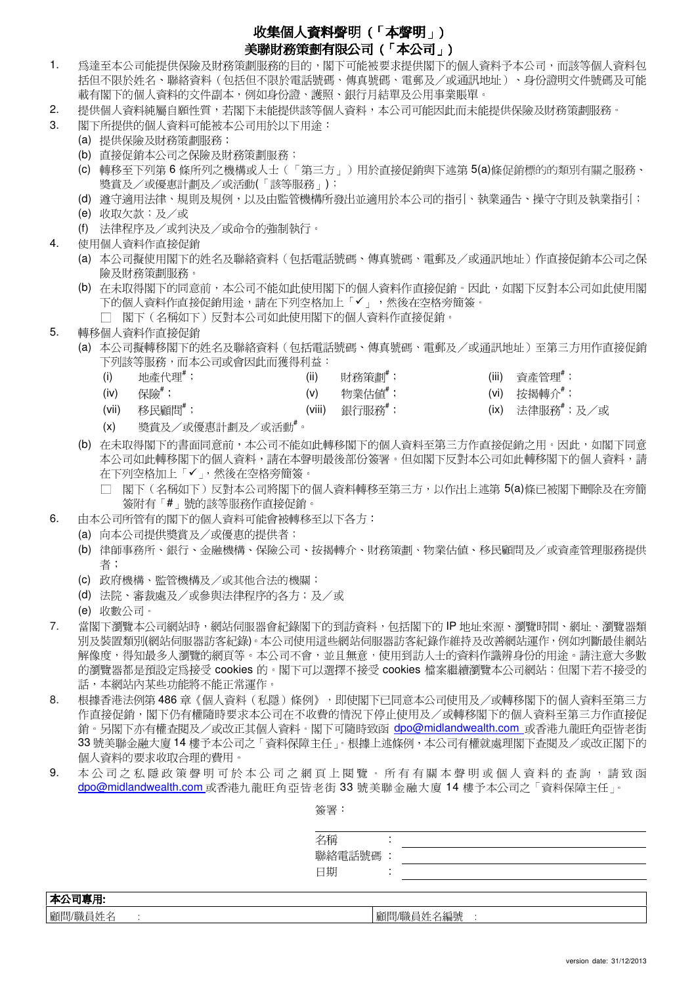## 收集個人資料聲明 ( 「本聲明」)

## 美聯財務策劃有限公司 (「本公司」)

- 1. 為達至本公司能提供保險及財務策劃服務的目的,閣下可能被要求提供閣下的個人資料予本公司,而該等個人資料包 括但不限於姓名、聯絡資料(包括但不限於電話號碼、傳真號碼、電郵及/或通訊地址)、身份證明文件號碼及可能 載有閣下的個人資料的文件副本,例如身份證、護照、銀行月結單及公用事業賬單。
- 2. 提供個人資料純屬自願性質,若閣下未能提供該等個人資料,本公司可能因此而未能提供保險及財務策劃服務。
- 3. 閣下所提供的個人資料可能被本公司用於以下用途:
	- (a) 提供保險及財務策劃服務;
	- (b) 直接促銷本公司之保險及財務策劃服務;
	- (c) 轉移至下列第 6 條所列之機構或人士(「第三方」)用於直接促銷與下述第 5(a)條促銷標的的類別有關之服務、 獎賞及/或優惠計劃及/或活動(「該等服務」);
	- (d) 遵守適用法律、規則及規例,以及由監管機構所發出並適用於本公司的指引、執業通告、操守守則及執業指引;
	- (e) 收取欠款;及/或
	- (f) 法律程序及/或判決及/或命令的強制執行。
- 4. 使用個人資料作直接促銷
	- (a) 本公司擬使用閣下的姓名及聯絡資料(包括電話號碼、傳真號碼、電郵及/或通訊地址)作直接促銷本公司之保 險及財務策劃服務。
	- (b) 在未取得閣下的同意前,本公司不能如此使用閣下的個人資料作直接促銷。因此,如閣下反對本公司如此使用閣 下的個人資料作直接促銷用途,請在下列空格加上「」,然後在空格旁簡簽。
		- □ 閣下(名稱如下)反對本公司如此使用閣下的個人資料作直接促銷。
- 5. 轉移個人資料作直接促銷
	- (a) 本公司擬轉移閣下的姓名及聯絡資料(包括電話號碼、傳真號碼、電郵及/或通訊地址)至第三方用作直接促銷 下列該等服務,而本公司或會因此而獲得利益:
		- (i) 地產代理 $^*$ ; (ii) 「刺務策劃 $^*$ ; (iii) 資產管理 $^*$ ;
		- (iv) 保險 $\stackrel{\ast}{\mathbb{R}}$ ; (vi) (v) 物業估值 $\stackrel{\ast}{\mathbb{R}}$ ; (vi) 按揭轉介 $\stackrel{\ast}{\mathbb{R}}$ ;
			-
- 
- 
- 
- (vii) 移民顧問#; (viii) 銀行服務#; (ix) 法律服務#;及/或
	-

- (x) 獎賞及/或優惠計劃及/或活動#。
- (b) 在未取得閣下的書面同意前,本公司不能如此轉移閣下的個人資料至第三方作直接促銷之用。因此,如閣下同意 本公司如此轉移閣下的個人資料,請在本聲明最後部份簽署。但如閣下反對本公司如此轉移閣下的個人資料,請 在下列空格加上「✔」,然後在空格旁簡簽。
	- □ 閣下(名稱如下)反對本公司將閣下的個人資料轉移至第三方,以作出上述第 5(a)條已被閣下刪除及在旁簡 簽附有「#」號的該等服務作直接促銷。
- 6. 由本公司所管有的閣下的個人資料可能會被轉移至以下各方:
	- (a) 向本公司提供獎賞及/或優惠的提供者;
	- (b) 律師事務所、銀行、金融機構、保險公司、按揭轉介、財務策劃、物業估值、移民顧問及/或資產管理服務提供 者;
	- (c) 政府機構、監管機構及/或其他合法的機關;
	- (d) 法院、審裁處及/或參與法律程序的各方;及/或
	- (e) 收數公司。
- 7. 當閣下瀏覽本公司網站時,網站伺服器會紀錄閣下的到訪資料,包括閣下的 IP 地址來源、瀏覽時間、網址、瀏覽器類 別及裝置類別(網站伺服器訪客紀錄)。本公司使用這些網站伺服器訪客紀錄作維持及改善網站運作,例如判斷最佳網站 解像度,得知最多人瀏覽的網頁等。本公司不會,並且無意,使用到訪人士的資料作識辨身份的用途。請注意大多數 的瀏覽器都是預設定爲接受 cookies 的。閣下可以選擇不接受 cookies 檔案繼續瀏覽本公司網站;但閣下若不接受的 話,本網站內某些功能將不能正常運作。
- 8. 根據香港法例第 486 章 《個人資料(私隱)條例》,即使閣下已同意本公司使用及/或轉移閣下的個人資料至第三方 作直接促銷,閣下仍有權隨時要求本公司在不收費的情況下停止使用及/或轉移閣下的個人資料至第三方作直接促 銷。另閣下亦有權查閱及/或改正其個人資料。閣下可隨時致函 dpo@midlandwealth.com 或香港九龍旺角亞皆老街 33 號美聯金融大廈 14 樓予本公司之「資料保障主任」。根據上述條例,本公司有權就處理閣下查閱及/或改正閣下的 個人資料的要求收取合理的費用。
- 9. 本公司之私隱政策聲明可於本公司之網頁上閱覽。所有有關本聲明或個人資料的查詢,請致函 dpo@midlandwealth.com 或香港九龍旺角亞皆老街 33 號美聯金融大廈 14 樓予本公司之「資料保障主任」。

簽署:

| ᄎᄎ ᄅ    |           |
|---------|-----------|
| 名稱      |           |
| 聯絡電話號碼  |           |
| 日期      |           |
|         |           |
| 本公司專用   |           |
| 顧問/職員姓名 | 顧問/職員姓名編號 |